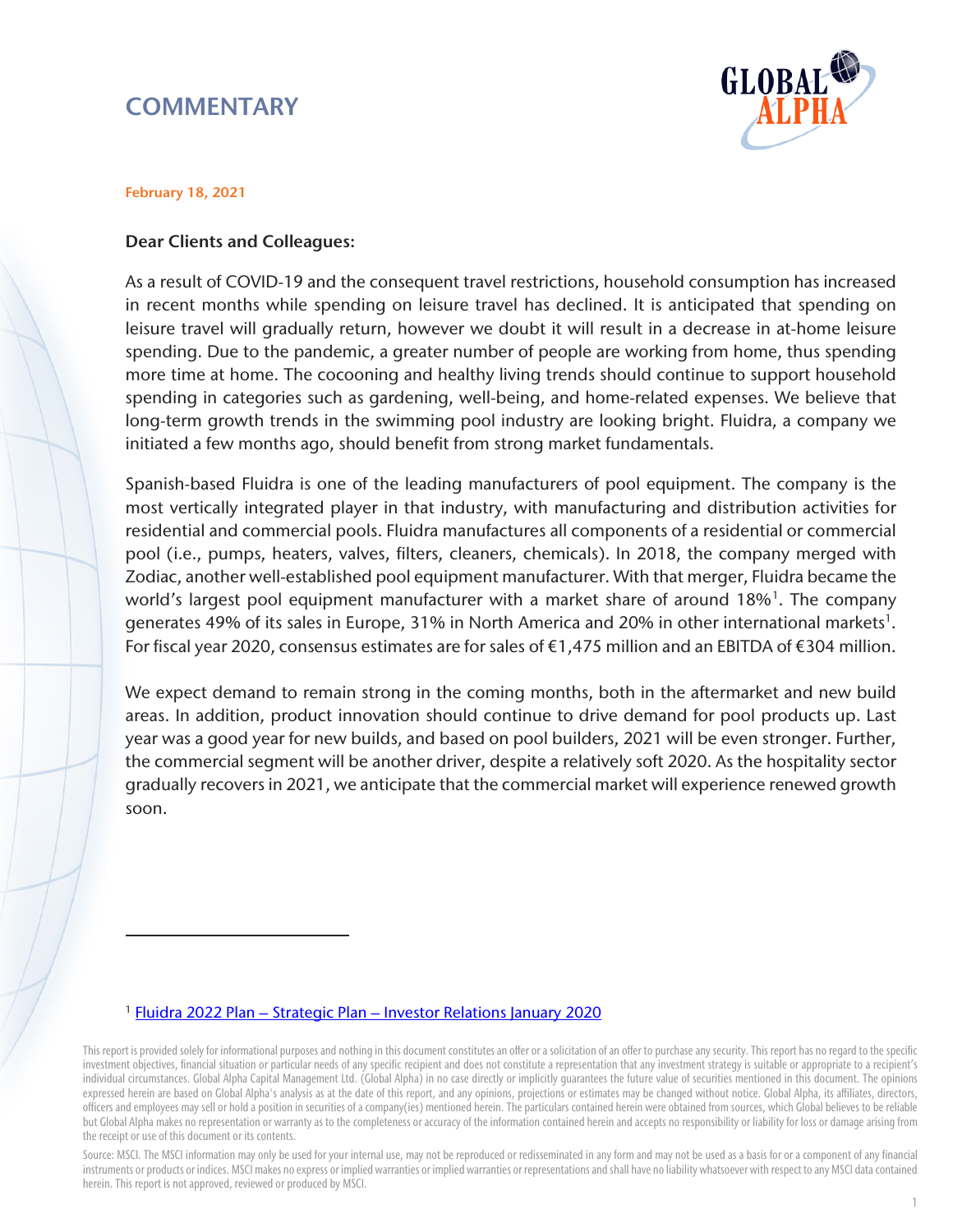# **COMMENTARY**



#### February 18, 2021

 $\overline{a}$ 

#### Dear Clients and Colleagues:

As a result of COVID-19 and the consequent travel restrictions, household consumption has increased in recent months while spending on leisure travel has declined. It is anticipated that spending on leisure travel will gradually return, however we doubt it will result in a decrease in at-home leisure spending. Due to the pandemic, a greater number of people are working from home, thus spending more time at home. The cocooning and healthy living trends should continue to support household spending in categories such as gardening, well-being, and home-related expenses. We believe that long-term growth trends in the swimming pool industry are looking bright. Fluidra, a company we initiated a few months ago, should benefit from strong market fundamentals.

Spanish-based Fluidra is one of the leading manufacturers of pool equipment. The company is the most vertically integrated player in that industry, with manufacturing and distribution activities for residential and commercial pools. Fluidra manufactures all components of a residential or commercial pool (i.e., pumps, heaters, valves, filters, cleaners, chemicals). In 2018, the company merged with Zodiac, another well-established pool equipment manufacturer. With that merger, Fluidra became the world's largest pool equipment manufacturer with a market share of around [1](#page-0-0)8%<sup>1</sup>. The company generates 49% of its sales in Europe, 31% in North America and 20% in other international markets<sup>1</sup>. For fiscal year 2020, consensus estimates are for sales of €1,475 million and an EBITDA of €304 million.

We expect demand to remain strong in the coming months, both in the aftermarket and new build areas. In addition, product innovation should continue to drive demand for pool products up. Last year was a good year for new builds, and based on pool builders, 2021 will be even stronger. Further, the commercial segment will be another driver, despite a relatively soft 2020. As the hospitality sector gradually recovers in 2021, we anticipate that the commercial market will experience renewed growth soon.

#### <sup>1</sup> [Fluidra 2022 Plan – Strategic Plan – Investor Relations January 2020](https://www.fluidra.com/uploads/media/default/0001/03/2805eb40f545b5d0eab75c3337d1925b085b8496.pdf)

<span id="page-0-0"></span>This report is provided solely for informational purposes and nothing in this document constitutes an offer or a solicitation of an offer to purchase any security. This report has no regard to the specific investment objectives, financial situation or particular needs of any specific recipient and does not constitute a representation that any investment strategy is suitable or appropriate to a recipient's individual circumstances. Global Alpha Capital Management Ltd. (Global Alpha) in no case directly or implicitly guarantees the future value of securities mentioned in this document. The opinions expressed herein are based on Global Alpha's analysis as at the date of this report, and any opinions, projections or estimates may be changed without notice. Global Alpha, its affiliates, directors, officers and employees may sell or hold a position in securities of a company(ies) mentioned herein. The particulars contained herein were obtained from sources, which Global believes to be reliable but Global Alpha makes no representation or warranty as to the completeness or accuracy of the information contained herein and accepts no responsibility or liability for loss or damage arising from the receipt or use of this document or its contents.

Source: MSCI. The MSCI information may only be used for your internal use, may not be reproduced or redisseminated in any form and may not be used as a basis for or a component of any financial instruments or products or indices. MSCI makes no express or implied warranties or implied warranties or representations and shall have no liability whatsoever with respect to any MSCI data contained herein. This report is not approved, reviewed or produced by MSCI.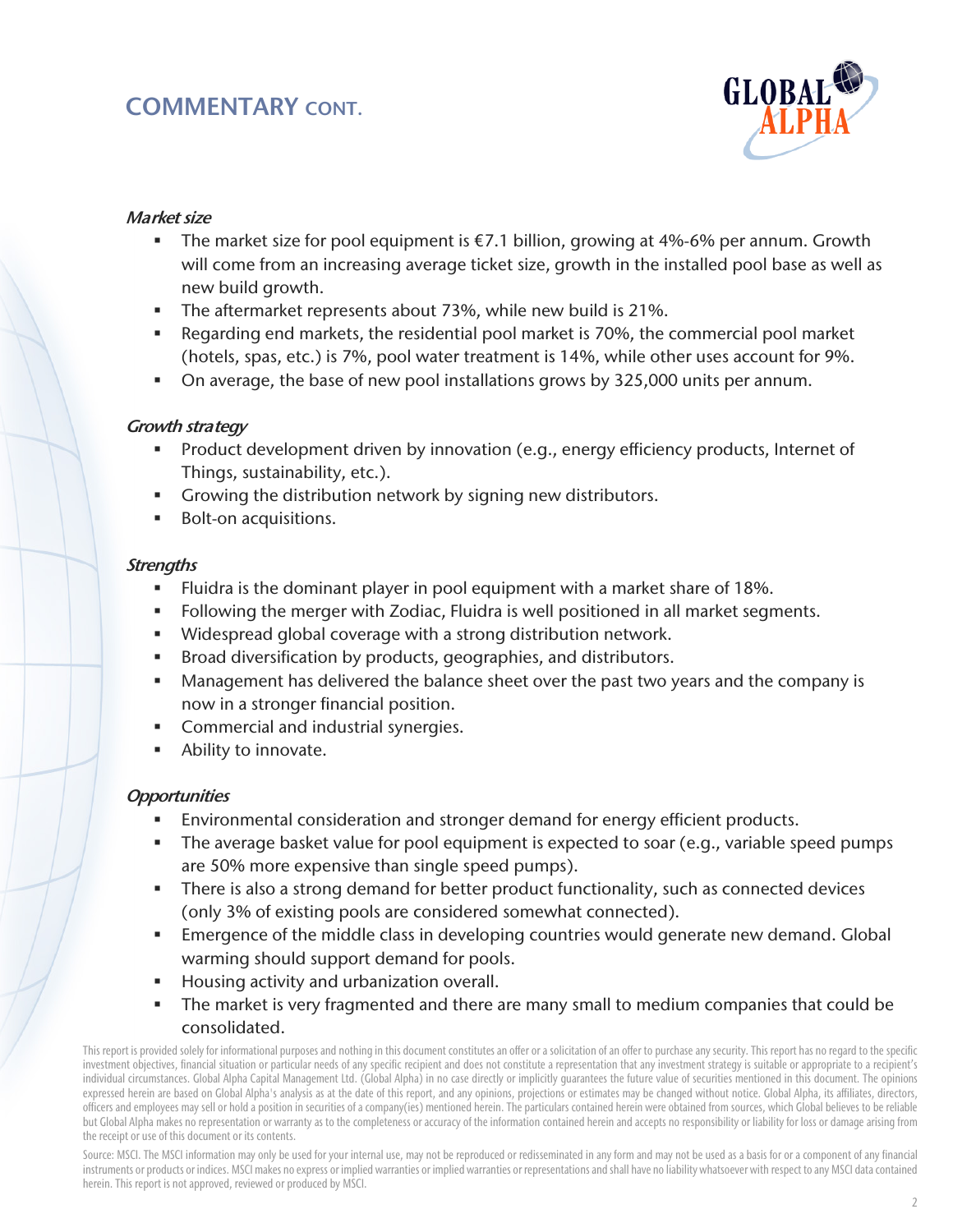# COMMENTARY CONT.



## Market size

- The market size for pool equipment is  $\epsilon$ 7.1 billion, growing at 4%-6% per annum. Growth will come from an increasing average ticket size, growth in the installed pool base as well as new build growth.
- The aftermarket represents about 73%, while new build is 21%.
- Regarding end markets, the residential pool market is 70%, the commercial pool market (hotels, spas, etc.) is 7%, pool water treatment is 14%, while other uses account for 9%.
- On average, the base of new pool installations grows by 325,000 units per annum.

## Growth strategy

- **Product development driven by innovation (e.g., energy efficiency products, Internet of** Things, sustainability, etc.).
- Growing the distribution network by signing new distributors.
- **Bolt-on acquisitions.**

#### **Strengths**

- Fluidra is the dominant player in pool equipment with a market share of 18%.
- Following the merger with Zodiac, Fluidra is well positioned in all market segments.
- Widespread global coverage with a strong distribution network.
- Broad diversification by products, geographies, and distributors.
- Management has delivered the balance sheet over the past two years and the company is now in a stronger financial position.
- Commercial and industrial synergies.
- **Ability to innovate.**

## **Opportunities**

- Environmental consideration and stronger demand for energy efficient products.
- The average basket value for pool equipment is expected to soar (e.g., variable speed pumps are 50% more expensive than single speed pumps).
- There is also a strong demand for better product functionality, such as connected devices (only 3% of existing pools are considered somewhat connected).
- Emergence of the middle class in developing countries would generate new demand. Global warming should support demand for pools.
- Housing activity and urbanization overall.
- The market is very fragmented and there are many small to medium companies that could be consolidated.

This report is provided solely for informational purposes and nothing in this document constitutes an offer or a solicitation of an offer to purchase any security. This report has no regard to the specific investment objectives, financial situation or particular needs of any specific recipient and does not constitute a representation that any investment strategy is suitable or appropriate to a recipient's individual circumstances. Global Alpha Capital Management Ltd. (Global Alpha) in no case directly or implicitly guarantees the future value of securities mentioned in this document. The opinions expressed herein are based on Global Alpha's analysis as at the date of this report, and any opinions, projections or estimates may be changed without notice. Global Alpha, its affiliates, directors, officers and employees may sell or hold a position in securities of a company(ies) mentioned herein. The particulars contained herein were obtained from sources, which Global believes to be reliable but Global Alpha makes no representation or warranty as to the completeness or accuracy of the information contained herein and accepts no responsibility or liability for loss or damage arising from the receipt or use of this document or its contents.

Source: MSCI. The MSCI information may only be used for your internal use, may not be reproduced or redisseminated in any form and may not be used as a basis for or a component of any financial instruments or products or indices. MSCI makes no express or implied warranties or implied warranties or representations and shall have no liability whatsoever with respect to any MSCI data contained herein. This report is not approved, reviewed or produced by MSCI.